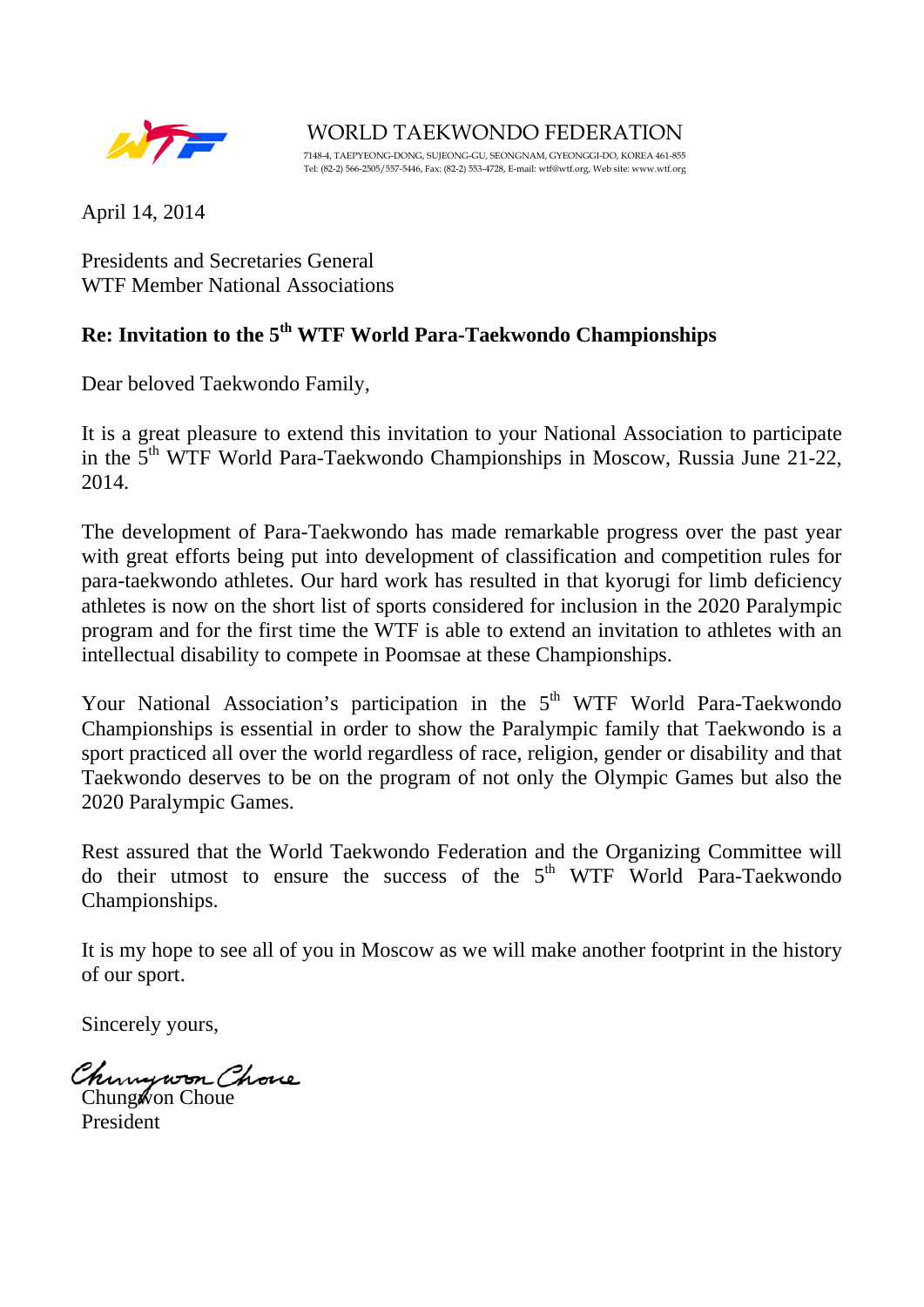

WORLD TAEKWONDO FEDERATION 7148-4, TAEPYEONG-DONG, SUJEONG-GU, SEONGNAM, GYEONGGI-DO, KOREA 461-855 Tel: (82-2) 566-2505/557-5446, Fax: (82-2) 553-4728, E-mail: wtf@wtf.org, Web site: www.wtf.org

April 14, 2014

Presidents and Secretaries General WTF Member National Associations

## **Re: Invitation to the 5th WTF World Para-Taekwondo Championships**

Dear beloved Taekwondo Family,

It is a great pleasure to extend this invitation to your National Association to participate in the 5th WTF World Para-Taekwondo Championships in Moscow, Russia June 21-22, 2014.

The development of Para-Taekwondo has made remarkable progress over the past year with great efforts being put into development of classification and competition rules for para-taekwondo athletes. Our hard work has resulted in that kyorugi for limb deficiency athletes is now on the short list of sports considered for inclusion in the 2020 Paralympic program and for the first time the WTF is able to extend an invitation to athletes with an intellectual disability to compete in Poomsae at these Championships.

Your National Association's participation in the  $5<sup>th</sup>$  WTF World Para-Taekwondo Championships is essential in order to show the Paralympic family that Taekwondo is a sport practiced all over the world regardless of race, religion, gender or disability and that Taekwondo deserves to be on the program of not only the Olympic Games but also the 2020 Paralympic Games.

Rest assured that the World Taekwondo Federation and the Organizing Committee will do their utmost to ensure the success of the  $5<sup>th</sup>$  WTF World Para-Taekwondo Championships.

It is my hope to see all of you in Moscow as we will make another footprint in the history of our sport.

Sincerely yours,

Chungwon Chove

Chung won Choue President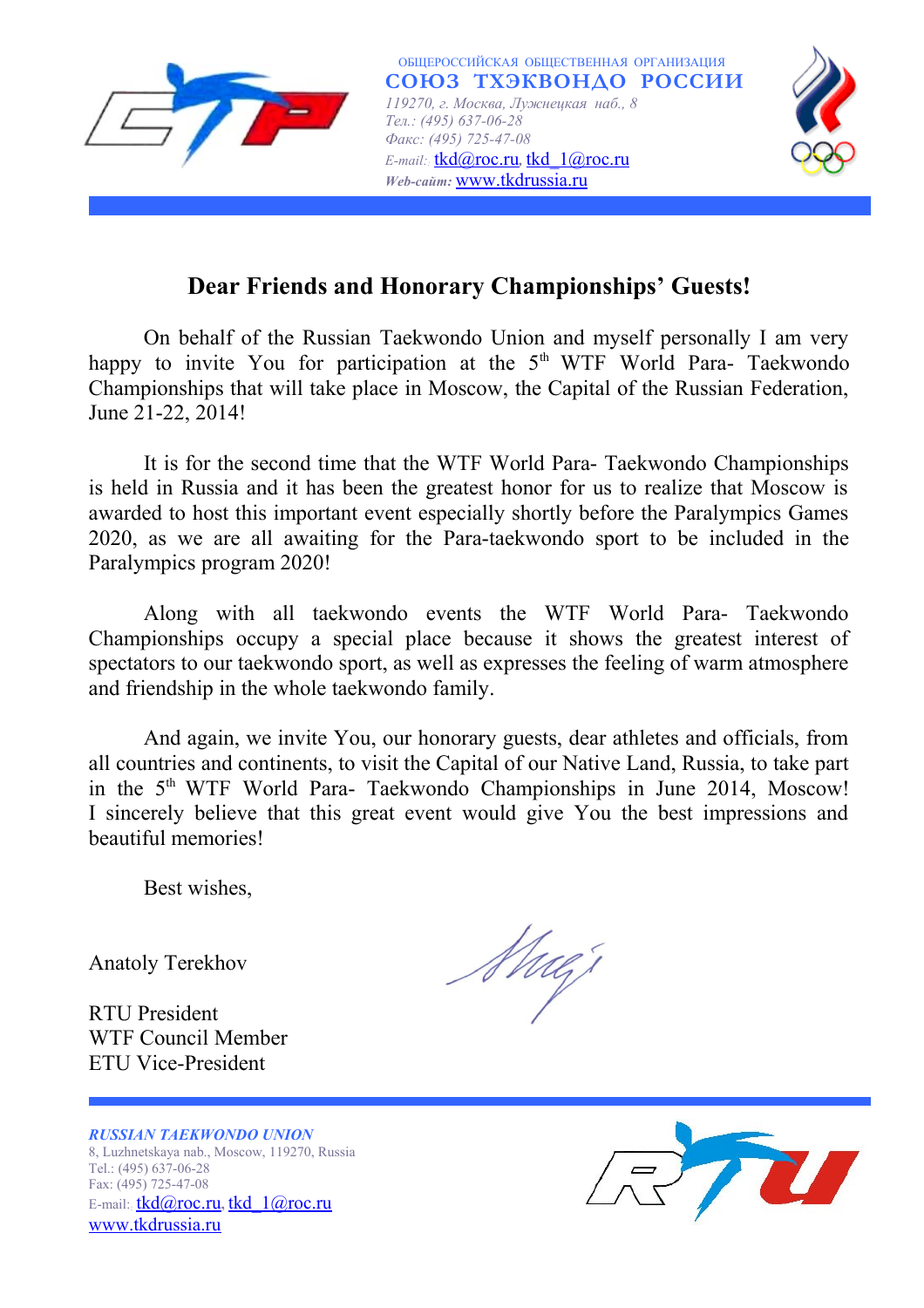

# **Dear Friends and Honorary Championships' Guests!**

On behalf of the Russian Taekwondo Union and myself personally I am very happy to invite You for participation at the  $5<sup>th</sup> WTF$  World Para- Taekwondo Championships that will take place in Moscow, the Capital of the Russian Federation, June 21-22, 2014!

It is for the second time that the WTF World Para- Taekwondo Championships is held in Russia and it has been the greatest honor for us to realize that Moscow is awarded to host this important event especially shortly before the Paralympics Games 2020, as we are all awaiting for the Para-taekwondo sport to be included in the Paralympics program 2020!

Along with all taekwondo events the WTF World Para- Taekwondo Championships occupy a special place because it shows the greatest interest of spectators to our taekwondo sport, as well as expresses the feeling of warm atmosphere and friendship in the whole taekwondo family.

And again, we invite You, our honorary guests, dear athletes and officials, from all countries and continents, to visit the Capital of our Native Land, Russia, to take part in the 5<sup>th</sup> WTF World Para- Taekwondo Championships in June 2014, Moscow! I sincerely believe that this great event would give You the best impressions and beautiful memories!

Best wishes,

Anatoly Terekhov

RTU President WTF Council Member ETU Vice-President



*RUSSIAN TAEKWONDO UNION* 8, Luzhnetskaya nab., Moscow, 119270, Russia Tel.: (495) 637-06-28 Fax: (495) 725-47-08 E-mail:: [tkd@roc.ru](mailto:tkd@roc.ru)**,** [tkd\\_1@roc.ru](mailto:tkd_1@roc.ru) [www.tkdrussia.ru](http://www.tkdrussia.ru/)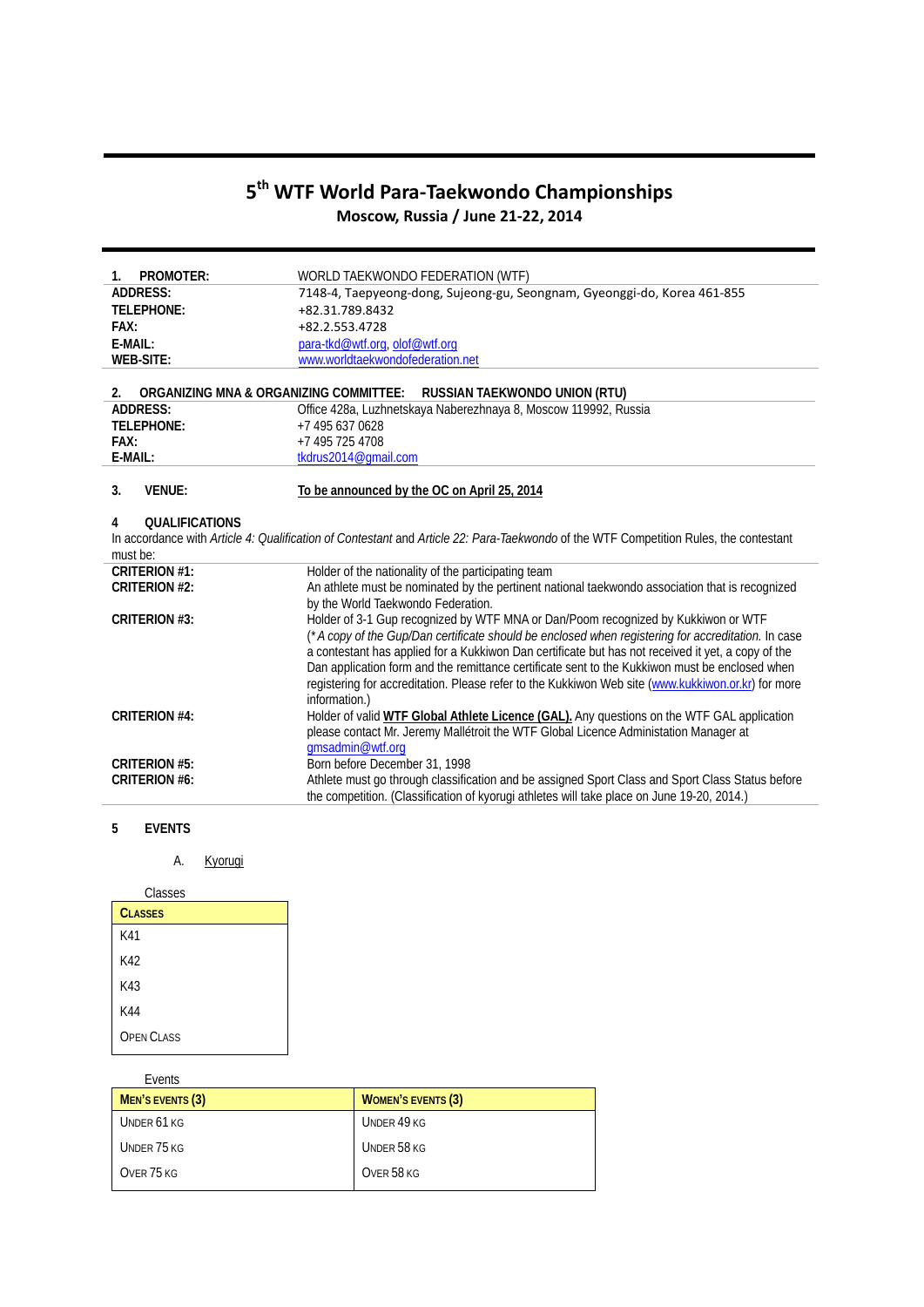## **5th WTF World Para-Taekwondo Championships Moscow, Russia / June 21-22, 2014**

| PROMOTER:<br>$1_{\cdot}$                     | WORLD TAEKWONDO FEDERATION (WTF)                                                                                                      |
|----------------------------------------------|---------------------------------------------------------------------------------------------------------------------------------------|
| <b>ADDRESS:</b>                              | 7148-4, Taepyeong-dong, Sujeong-gu, Seongnam, Gyeonggi-do, Korea 461-855                                                              |
| TELEPHONE:                                   | +82.31.789.8432                                                                                                                       |
| FAX:                                         | +82.2.553.4728                                                                                                                        |
| $F$ -MAII:                                   | para-tkd@wtf.org, olof@wtf.org                                                                                                        |
| <b>WEB-SITE:</b>                             | www.worldtaekwondofederation.net                                                                                                      |
|                                              |                                                                                                                                       |
| ORGANIZING MNA & ORGANIZING COMMITTEE:<br>2. | RUSSIAN TAEKWONDO UNION (RTU)                                                                                                         |
| <b>ADDRESS:</b>                              | Office 428a, Luzhnetskaya Naberezhnaya 8, Moscow 119992, Russia                                                                       |
| TELEPHONE:                                   | +7 495 637 0628                                                                                                                       |
| FAX:                                         | +7 495 725 4708                                                                                                                       |
| E-MAIL:                                      | tkdrus2014@qmail.com                                                                                                                  |
|                                              |                                                                                                                                       |
| 3.<br><b>VENUE:</b>                          | To be announced by the OC on April 25, 2014                                                                                           |
|                                              |                                                                                                                                       |
| <b>OUALIFICATIONS</b><br>4                   |                                                                                                                                       |
|                                              | In accordance with Article 4: Qualification of Contestant and Article 22: Para-Taekwondo of the WTF Competition Rules, the contestant |
| must be:                                     |                                                                                                                                       |
| <b>CRITERION #1:</b>                         | Holder of the nationality of the participating team                                                                                   |
| <b>CRITERION #2:</b>                         | An athlete must be nominated by the pertinent national taekwondo association that is recognized                                       |
|                                              | by the World Taekwondo Federation.                                                                                                    |
| <b>CRITERION #3:</b>                         | Holder of 3-1 Gup recognized by WTF MNA or Dan/Poom recognized by Kukkiwon or WTF                                                     |
|                                              | (*A copy of the Gup/Dan certificate should be enclosed when registering for accreditation. In case                                    |
|                                              | a contestant has applied for a Kukkiwon Dan certificate but has not received it yet, a copy of the                                    |
|                                              | Dan application form and the remittance certificate sent to the Kukkiwon must be enclosed when                                        |
|                                              | registering for accreditation. Please refer to the Kukkiwon Web site (www.kukkiwon.or.kr) for more                                    |
|                                              | information.)                                                                                                                         |
| <b>CRITERION #4:</b>                         | Holder of valid WTF Global Athlete Licence (GAL). Any questions on the WTF GAL application                                            |
|                                              | please contact Mr. Jeremy Mallétroit the WTF Global Licence Administation Manager at                                                  |
|                                              | gmsadmin@wtf.org                                                                                                                      |
| <b>CRITERION #5:</b>                         | Born before December 31, 1998                                                                                                         |
| <b>CRITERION #6:</b>                         | Athlete must go through classification and be assigned Sport Class and Sport Class Status before                                      |
|                                              | the competition. (Classification of kyorugi athletes will take place on June 19-20, 2014.)                                            |
|                                              |                                                                                                                                       |

## **5 EVENTS**

A. Kyorugi

| Classes           |  |
|-------------------|--|
| <b>CLASSES</b>    |  |
| K41               |  |
| K42               |  |
| K43               |  |
| K44               |  |
| <b>OPEN CLASS</b> |  |

| Events           |                           |
|------------------|---------------------------|
| MEN'S EVENTS (3) | <b>WOMEN'S EVENTS (3)</b> |
| UNDER 61 KG      | UNDER 49 KG               |
| UNDER 75 KG      | UNDER 58 KG               |
| OVER 75 KG       | OVER 58 KG                |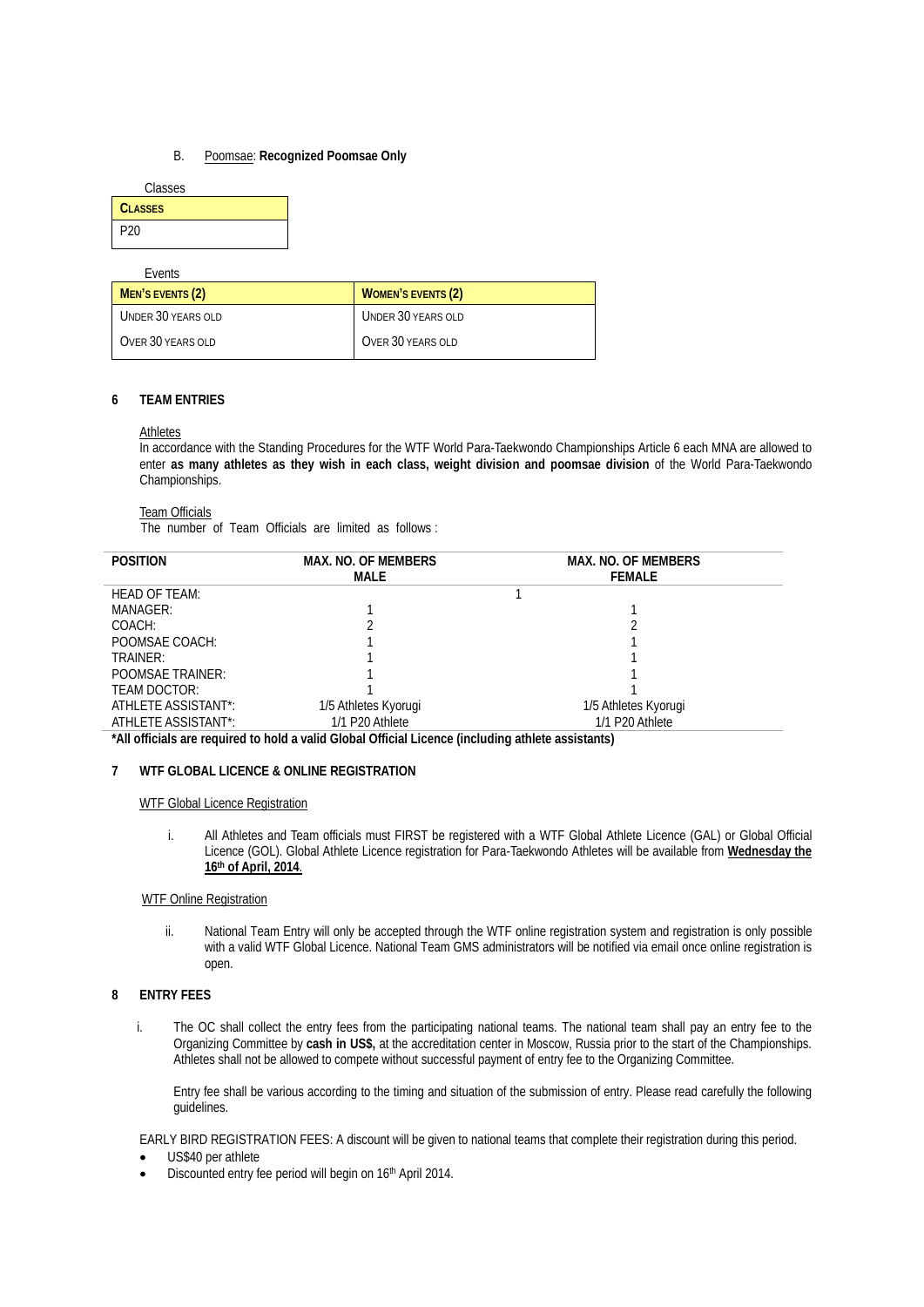## B. Poomsae: **Recognized Poomsae Only**

| Classes         |  |
|-----------------|--|
| <b>CLASSES</b>  |  |
| P <sub>20</sub> |  |

Events

| MEN'S EVENTS (2)   | <b>WOMEN'S EVENTS (2)</b> |
|--------------------|---------------------------|
| UNDER 30 YEARS OLD | UNDER 30 YEARS OLD        |
| OVER 30 YEARS OLD  | OVER 30 YEARS OLD         |

## **6 TEAM ENTRIES**

## Athletes

In accordance with the Standing Procedures for the WTF World Para-Taekwondo Championships Article 6 each MNA are allowed to enter **as many athletes as they wish in each class, weight division and poomsae division** of the World Para-Taekwondo Championships.

#### Team Officials

The number of Team Officials are limited as follows :

| <b>POSITION</b>         | <b>MAX. NO. OF MEMBERS</b><br>MALE | <b>MAX. NO. OF MEMBERS</b><br><b>FEMALE</b> |
|-------------------------|------------------------------------|---------------------------------------------|
| HEAD OF TEAM:           |                                    |                                             |
| MANAGER:                |                                    |                                             |
| COACH:                  |                                    |                                             |
| POOMSAE COACH:          |                                    |                                             |
| TRAINER:                |                                    |                                             |
| <b>POOMSAE TRAINER:</b> |                                    |                                             |
| TEAM DOCTOR:            |                                    |                                             |
| ATHLETE ASSISTANT*:     | 1/5 Athletes Kyorugi               | 1/5 Athletes Kyorugi                        |
| ATHLETE ASSISTANT*:     | 1/1 P20 Athlete                    | 1/1 P20 Athlete                             |
|                         | .                                  | .                                           |

**\*All officials are required to hold a valid Global Official Licence (including athlete assistants)**

### **7 WTF GLOBAL LICENCE & ONLINE REGISTRATION**

#### WTF Global Licence Registration

i. All Athletes and Team officials must FIRST be registered with a WTF Global Athlete Licence (GAL) or Global Official Licence (GOL). Global Athlete Licence registration for Para-Taekwondo Athletes will be available from **Wednesday the 16th of April, 2014**.

## WTF Online Registration

ii. National Team Entry will only be accepted through the WTF online registration system and registration is only possible with a valid WTF Global Licence. National Team GMS administrators will be notified via email once online registration is open.

## **8 ENTRY FEES**

i. The OC shall collect the entry fees from the participating national teams. The national team shall pay an entry fee to the Organizing Committee by **cash in US\$,** at the accreditation center in Moscow, Russia prior to the start of the Championships. Athletes shall not be allowed to compete without successful payment of entry fee to the Organizing Committee.

Entry fee shall be various according to the timing and situation of the submission of entry. Please read carefully the following guidelines.

EARLY BIRD REGISTRATION FEES: A discount will be given to national teams that complete their registration during this period.

- US\$40 per athlete
- Discounted entry fee period will begin on 16<sup>th</sup> April 2014.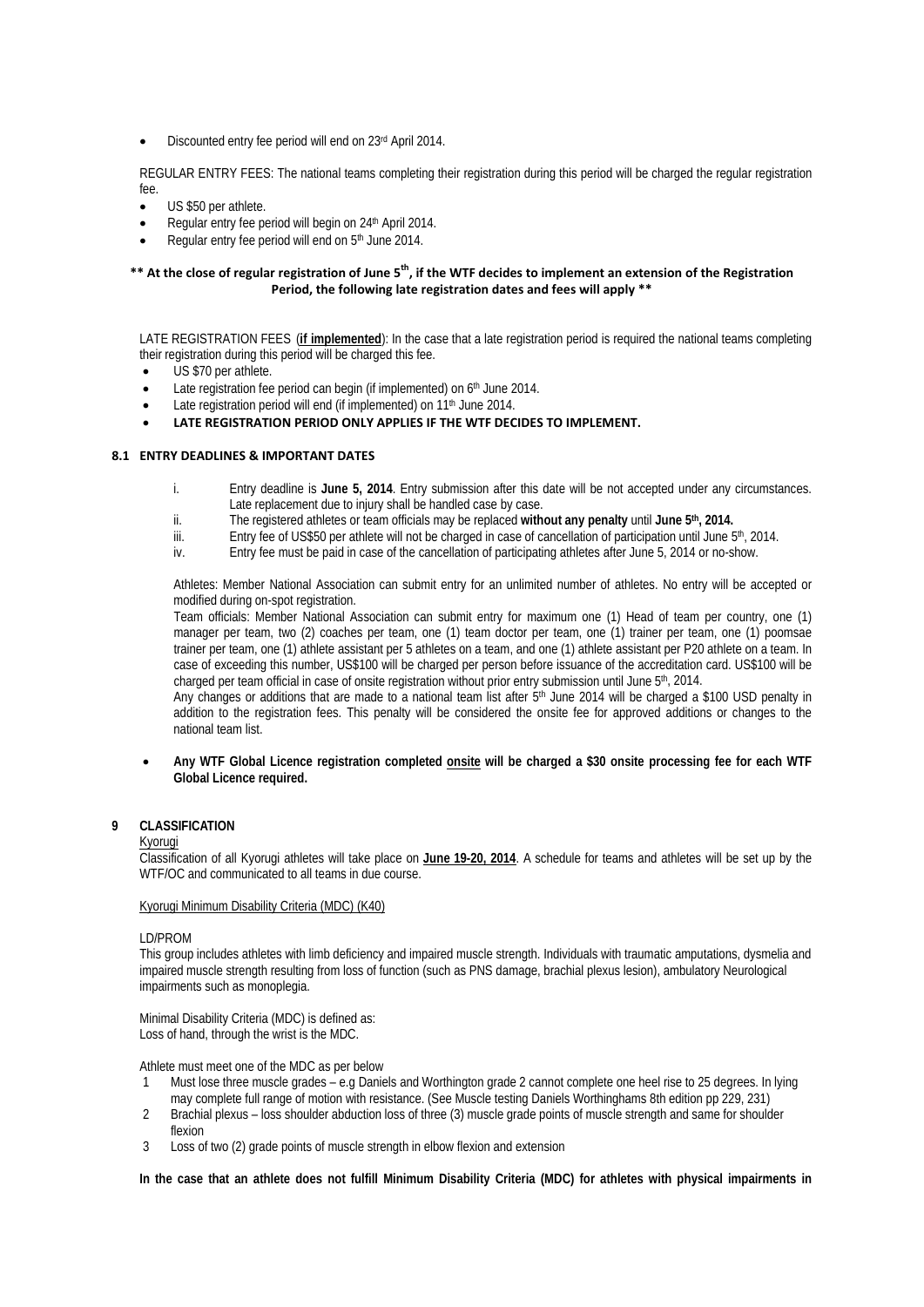• Discounted entry fee period will end on 23rd April 2014.

REGULAR ENTRY FEES: The national teams completing their registration during this period will be charged the regular registration fee.

- US \$50 per athlete.
- Regular entry fee period will begin on 24<sup>th</sup> April 2014.
- Regular entry fee period will end on 5<sup>th</sup> June 2014.

## \*\* At the close of regular registration of June 5<sup>th</sup>, if the WTF decides to implement an extension of the Registration **Period, the following late registration dates and fees will apply \*\***

LATE REGISTRATION FEES (if implemented): In the case that a late registration period is required the national teams completing their registration during this period will be charged this fee.

- US \$70 per athlete.
- Late registration fee period can begin (if implemented) on 6<sup>th</sup> June 2014.
- Late registration period will end (if implemented) on 11<sup>th</sup> June 2014.
- **LATE REGISTRATION PERIOD ONLY APPLIES IF THE WTF DECIDES TO IMPLEMENT.**

## **8.1 ENTRY DEADLINES & IMPORTANT DATES**

- i. Entry deadline is **June 5, 2014**. Entry submission after this date will be not accepted under any circumstances. Late replacement due to injury shall be handled case by case.
- ii. The registered athletes or team officials may be replaced **without any penalty** until **June 5th , 2014.**
- iii. Entry fee of US\$50 per athlete will not be charged in case of cancellation of participation until June 5<sup>th</sup>, 2014.
- iv. Entry fee must be paid in case of the cancellation of participating athletes after June 5, 2014 or no-show.

Athletes: Member National Association can submit entry for an unlimited number of athletes. No entry will be accepted or modified during on-spot registration.

Team officials: Member National Association can submit entry for maximum one (1) Head of team per country, one (1) manager per team, two (2) coaches per team, one (1) team doctor per team, one (1) trainer per team, one (1) poomsae trainer per team, one (1) athlete assistant per 5 athletes on a team, and one (1) athlete assistant per P20 athlete on a team. In case of exceeding this number, US\$100 will be charged per person before issuance of the accreditation card. US\$100 will be charged per team official in case of onsite registration without prior entry submission until June 5<sup>th</sup>, 2014.

charged per team official in case of onsite registration without prior entry submission until June 5ʰ, 2014.<br>Any changes or additions that are made to a national team list after 5ʰ June 2014 will be charged a \$100 USD pena addition to the registration fees. This penalty will be considered the onsite fee for approved additions or changes to the national team list.

• **Any WTF Global Licence registration completed onsite will be charged a \$30 onsite processing fee for each WTF Global Licence required.**

## **9 CLASSIFICATION**

#### Kyorugi

Classification of all Kyorugi athletes will take place on **June 19-20, 2014**. A schedule for teams and athletes will be set up by the WTF/OC and communicated to all teams in due course.

## Kyorugi Minimum Disability Criteria (MDC) (K40)

#### LD/PROM

This group includes athletes with limb deficiency and impaired muscle strength. Individuals with traumatic amputations, dysmelia and impaired muscle strength resulting from loss of function (such as PNS damage, brachial plexus lesion), ambulatory Neurological impairments such as monoplegia.

Minimal Disability Criteria (MDC) is defined as: Loss of hand, through the wrist is the MDC.

Athlete must meet one of the MDC as per below

- 1 Must lose three muscle grades e.g Daniels and Worthington grade 2 cannot complete one heel rise to 25 degrees. In lying may complete full range of motion with resistance. (See Muscle testing Daniels Worthinghams 8th edition pp 229, 231)
- 2 Brachial plexus loss shoulder abduction loss of three (3) muscle grade points of muscle strength and same for shoulder flexion
- 3 Loss of two (2) grade points of muscle strength in elbow flexion and extension

**In the case that an athlete does not fulfill Minimum Disability Criteria (MDC) for athletes with physical impairments in**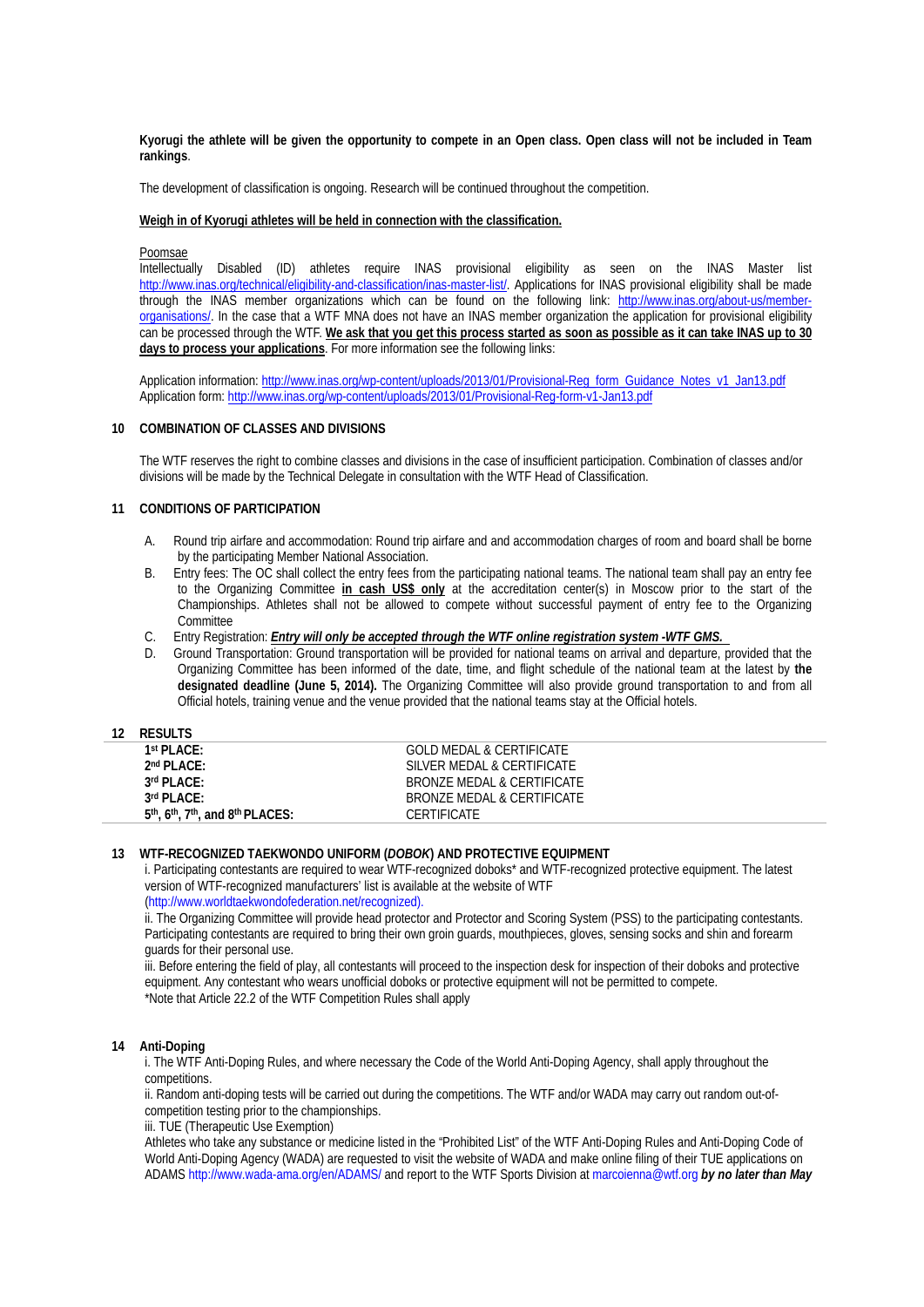**Kyorugi the athlete will be given the opportunity to compete in an Open class. Open class will not be included in Team rankings**.

The development of classification is ongoing. Research will be continued throughout the competition.

#### **Weigh in of Kyorugi athletes will be held in connection with the classification.**

Poomsae

Intellectually Disabled (ID) athletes require INAS provisional eligibility as seen on the INAS Master list [http://www.inas.org/technical/eligibility-and-classification/inas-master-list/.](http://www.inas.org/technical/eligibility-and-classification/inas-master-list/) Applications for INAS provisional eligibility shall be made through the INAS member organizations which can be found on the following link: [http://www.inas.org/about-us/member](http://www.inas.org/about-us/member-organisations/)[organisations/.](http://www.inas.org/about-us/member-organisations/) In the case that a WTF MNA does not have an INAS member organization the application for provisional eligibility can be processed through the WTF. **We ask that you get this process started as soon as possible as it can take INAS up to 30 days to process your applications**. For more information see the following links:

Application information: [http://www.inas.org/wp-content/uploads/2013/01/Provisional-Reg\\_form\\_Guidance\\_Notes\\_v1\\_Jan13.pdf](http://www.inas.org/wp-content/uploads/2013/01/Provisional-Reg_form_Guidance_Notes_v1_Jan13.pdf) Application form:<http://www.inas.org/wp-content/uploads/2013/01/Provisional-Reg-form-v1-Jan13.pdf>

#### **10 COMBINATION OF CLASSES AND DIVISIONS**

The WTF reserves the right to combine classes and divisions in the case of insufficient participation. Combination of classes and/or divisions will be made by the Technical Delegate in consultation with the WTF Head of Classification.

## **11 CONDITIONS OF PARTICIPATION**

- A. Round trip airfare and accommodation: Round trip airfare and and accommodation charges of room and board shall be borne by the participating Member National Association.
- B. Entry fees: The OC shall collect the entry fees from the participating national teams. The national team shall pay an entry fee to the Organizing Committee **in cash US\$ only** at the accreditation center(s) in Moscow prior to the start of the Championships. Athletes shall not be allowed to compete without successful payment of entry fee to the Organizing **Committee**
- C. Entry Registration: *Entry will only be accepted through the WTF online registration system -WTF GMS.*
- Ground Transportation: Ground transportation will be provided for national teams on arrival and departure, provided that the Organizing Committee has been informed of the date, time, and flight schedule of the national team at the latest by **the designated deadline (June 5, 2014).** The Organizing Committee will also provide ground transportation to and from all Official hotels, training venue and the venue provided that the national teams stay at the Official hotels.

### **12 RESULTS**

| 1st PI ACF:                                                             | GOLD MEDAL & CERTIFICATE   |
|-------------------------------------------------------------------------|----------------------------|
| 2 <sup>nd</sup> PLACE:                                                  | SILVER MEDAL & CERTIFICATE |
| 3rd PLACE:                                                              | BRONZE MEDAL & CERTIFICATE |
| $3rd$ PI ACF:                                                           | BRONZE MEDAL & CERTIFICATE |
| $5th$ , 6 <sup>th</sup> , 7 <sup>th</sup> , and 8 <sup>th</sup> PLACES: | CERTIFICATE                |
|                                                                         |                            |

#### **13 WTF-RECOGNIZED TAEKWONDO UNIFORM (***DOBOK***) AND PROTECTIVE EQUIPMENT**

i. Participating contestants are required to wear WTF-recognized doboks\* and WTF-recognized protective equipment. The latest version of WTF-recognized manufacturers' list is available at the website of WTF

(http://www.worldtaekwondofederation.net/recognized).

ii. The Organizing Committee will provide head protector and Protector and Scoring System (PSS) to the participating contestants. Participating contestants are required to bring their own groin guards, mouthpieces, gloves, sensing socks and shin and forearm guards for their personal use.

iii. Before entering the field of play, all contestants will proceed to the inspection desk for inspection of their doboks and protective equipment. Any contestant who wears unofficial doboks or protective equipment will not be permitted to compete. \*Note that Article 22.2 of the WTF Competition Rules shall apply

### **14 Anti-Doping**

i. The WTF Anti-Doping Rules, and where necessary the Code of the World Anti-Doping Agency, shall apply throughout the competitions.

ii. Random anti-doping tests will be carried out during the competitions. The WTF and/or WADA may carry out random out-ofcompetition testing prior to the championships.

iii. TUE (Therapeutic Use Exemption)

Athletes who take any substance or medicine listed in the "Prohibited List" of the WTF Anti-Doping Rules and Anti-Doping Code of World Anti-Doping Agency (WADA) are requested to visit the website of WADA and make online filing of their TUE applications on ADAMS http://www.wada-ama.org/en/ADAMS/ and report to the WTF Sports Division at marcoienna@wtf.org *by no later than May*